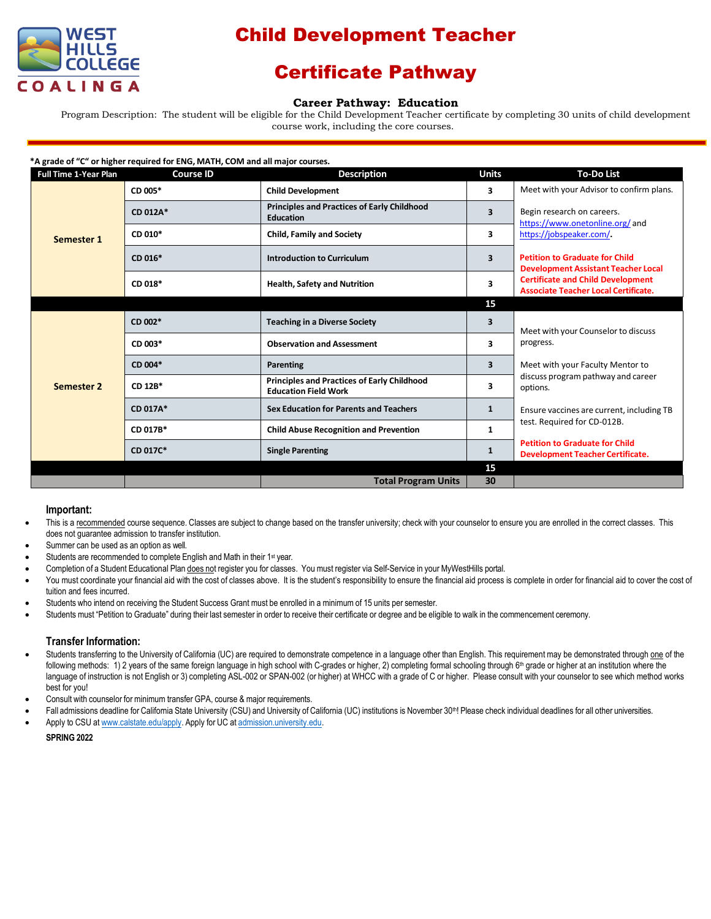

# Child Development Teacher

## Certificate Pathway

### **Career Pathway: Education**

Program Description: The student will be eligible for the Child Development Teacher certificate by completing 30 units of child development course work, including the core courses.

| *A grade of "C" or higher required for ENG, MATH, COM and all major courses. |                  |                                                                                   |              |                                                                                                                                                                                                                                                                            |  |  |  |
|------------------------------------------------------------------------------|------------------|-----------------------------------------------------------------------------------|--------------|----------------------------------------------------------------------------------------------------------------------------------------------------------------------------------------------------------------------------------------------------------------------------|--|--|--|
| <b>Full Time 1-Year Plan</b>                                                 | <b>Course ID</b> | <b>Description</b>                                                                | <b>Units</b> | <b>To-Do List</b>                                                                                                                                                                                                                                                          |  |  |  |
| Semester 1                                                                   | CD 005*          | <b>Child Development</b>                                                          | 3            | Meet with your Advisor to confirm plans.                                                                                                                                                                                                                                   |  |  |  |
|                                                                              | CD 012A*         | <b>Principles and Practices of Early Childhood</b><br><b>Education</b>            | 3            | Begin research on careers.<br>https://www.onetonline.org/and<br>https://jobspeaker.com/.<br><b>Petition to Graduate for Child</b><br><b>Development Assistant Teacher Local</b><br><b>Certificate and Child Development</b><br><b>Associate Teacher Local Certificate.</b> |  |  |  |
|                                                                              | CD 010*          | <b>Child, Family and Society</b>                                                  | 3            |                                                                                                                                                                                                                                                                            |  |  |  |
|                                                                              | CD 016*          | <b>Introduction to Curriculum</b>                                                 | 3            |                                                                                                                                                                                                                                                                            |  |  |  |
|                                                                              | CD 018*          | <b>Health, Safety and Nutrition</b>                                               | 3            |                                                                                                                                                                                                                                                                            |  |  |  |
|                                                                              |                  |                                                                                   | 15           |                                                                                                                                                                                                                                                                            |  |  |  |
| <b>Semester 2</b>                                                            | $CD$ 002 $*$     | <b>Teaching in a Diverse Society</b>                                              | 3            | Meet with your Counselor to discuss<br>progress.<br>Meet with your Faculty Mentor to<br>discuss program pathway and career<br>options.                                                                                                                                     |  |  |  |
|                                                                              | CD 003*          | <b>Observation and Assessment</b>                                                 | 3            |                                                                                                                                                                                                                                                                            |  |  |  |
|                                                                              | CD 004*          | Parenting                                                                         | 3            |                                                                                                                                                                                                                                                                            |  |  |  |
|                                                                              | CD 12B*          | <b>Principles and Practices of Early Childhood</b><br><b>Education Field Work</b> | 3            |                                                                                                                                                                                                                                                                            |  |  |  |
|                                                                              | CD 017A*         | <b>Sex Education for Parents and Teachers</b>                                     | $\mathbf{1}$ | Ensure vaccines are current, including TB<br>test. Required for CD-012B.<br><b>Petition to Graduate for Child</b><br><b>Development Teacher Certificate.</b>                                                                                                               |  |  |  |
|                                                                              | CD 017B*         | <b>Child Abuse Recognition and Prevention</b>                                     | $\mathbf{1}$ |                                                                                                                                                                                                                                                                            |  |  |  |
|                                                                              | CD 017C*         | <b>Single Parenting</b>                                                           | 1            |                                                                                                                                                                                                                                                                            |  |  |  |
|                                                                              |                  |                                                                                   | 15           |                                                                                                                                                                                                                                                                            |  |  |  |
|                                                                              |                  | <b>Total Program Units</b>                                                        | 30           |                                                                                                                                                                                                                                                                            |  |  |  |

### **Important:**

- This is a recommended course sequence. Classes are subject to change based on the transfer university; check with your counselor to ensure you are enrolled in the correct classes. This does not guarantee admission to transfer institution.
- Summer can be used as an option as well.
- Students are recommended to complete English and Math in their 1<sup>st</sup> year.
- Completion of a Student Educational Plan does not register you for classes. You must register via Self-Service in your MyWestHills portal.
- You must coordinate your financial aid with the cost of classes above. It is the student's responsibility to ensure the financial aid process is complete in order for financial aid to cover the cost of tuition and fees incurred.
- Students who intend on receiving the Student Success Grant must be enrolled in a minimum of 15 units per semester.
- Students must "Petition to Graduate" during their last semester in order to receive their certificate or degree and be eligible to walk in the commencement ceremony.

### **Transfer Information:**

- Students transferring to the University of California (UC) are required to demonstrate competence in a language other than English. This requirement may be demonstrated through one of the following methods: 1) 2 years of the same foreign language in high school with C-grades or higher, 2) completing formal schooling through 6<sup>th</sup> grade or higher at an institution where the language of instruction is not English or 3) completing ASL-002 or SPAN-002 (or higher) at WHCC with a grade of C or higher. Please consult with your counselor to see which method works best for you!
- Consult with counselor for minimum transfer GPA, course & major requirements.
- Fall admissions deadline for California State University (CSU) and University of California (UC) institutions is November 30<sup>th</sup>! Please check individual deadlines for all other universities.
- Apply to CSU at [www.calstate.edu/apply.](http://www.calstate.edu/apply) Apply for UC at [admission.university.edu.](http://www.apply.universityofcalifornia.edu/)

#### **SPRING 2022**